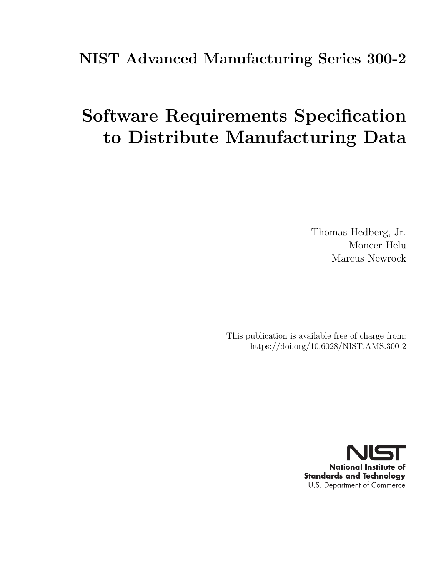# <span id="page-0-0"></span>NIST Advanced Manufacturing Series 300-2

# Software Requirements Specification to Distribute Manufacturing Data

Thomas Hedberg, Jr. Moneer Helu Marcus Newrock

This publication is available free of charge from: https://doi.org/10.6028/NIST.AMS.300-2

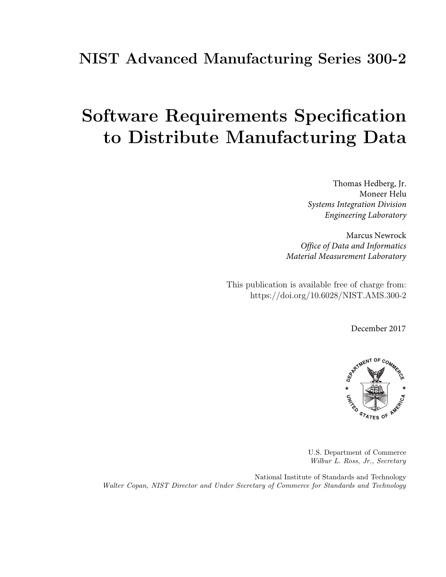# NIST Advanced Manufacturing Series 300-2

# Software Requirements Specification to Distribute Manufacturing Data

 *Systems Integration Division* Thomas Hedberg, Jr. Moneer Helu *Engineering Laboratory*

Marcus Newrock *Office of Data and Informatics Material Measurement Laboratory*

This publication is available free of charge from: https://doi.org/10.6028/NIST.AMS.300-2

December 2017



U.S. Department of Commerce Wilbur L. Ross, Jr., Secretary

National Institute of Standards and Technology Walter Copan, NIST Director and Under Secretary of Commerce for Standards and Technology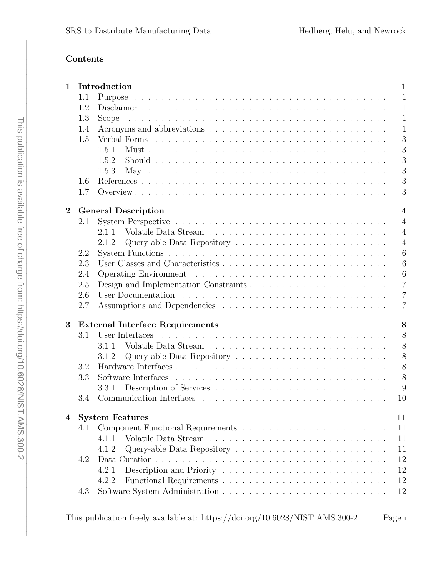## Contents

| 1        |                                             | Introduction<br>$\mathbf 1$                  |  |  |  |  |  |
|----------|---------------------------------------------|----------------------------------------------|--|--|--|--|--|
|          | 1.1                                         | $\mathbf{1}$                                 |  |  |  |  |  |
|          | 1.2                                         | $\mathbf{1}$                                 |  |  |  |  |  |
|          | 1.3                                         | $\mathbf{1}$<br>Scope                        |  |  |  |  |  |
|          | 1.4                                         | $\mathbf{1}$                                 |  |  |  |  |  |
|          | 1.5                                         | 3                                            |  |  |  |  |  |
|          |                                             | 3<br>1.5.1                                   |  |  |  |  |  |
|          |                                             | 3<br>1.5.2                                   |  |  |  |  |  |
|          |                                             | 3<br>1.5.3                                   |  |  |  |  |  |
|          | 1.6                                         | 3                                            |  |  |  |  |  |
|          | 1.7                                         | 3                                            |  |  |  |  |  |
| $\bf{2}$ |                                             | $\overline{\mathbf{4}}$                      |  |  |  |  |  |
|          | 2.1                                         | <b>General Description</b><br>$\overline{4}$ |  |  |  |  |  |
|          |                                             | 2.1.1<br>$\overline{4}$                      |  |  |  |  |  |
|          |                                             | $\overline{4}$                               |  |  |  |  |  |
|          |                                             | 2.1.2<br>6                                   |  |  |  |  |  |
|          | 2.2                                         |                                              |  |  |  |  |  |
|          | 2.3                                         | 6<br>6                                       |  |  |  |  |  |
|          | 2.4                                         | $\overline{7}$                               |  |  |  |  |  |
|          | 2.5                                         |                                              |  |  |  |  |  |
|          | 2.6                                         | $\overline{7}$                               |  |  |  |  |  |
|          | 2.7                                         | $\overline{7}$                               |  |  |  |  |  |
| 3        | <b>External Interface Requirements</b><br>8 |                                              |  |  |  |  |  |
|          | 3.1                                         | 8<br>User Interfaces                         |  |  |  |  |  |
|          |                                             | 8<br>3.1.1                                   |  |  |  |  |  |
|          |                                             | 8<br>3.1.2                                   |  |  |  |  |  |
|          | 3.2                                         | 8                                            |  |  |  |  |  |
|          | 3.3                                         | 8                                            |  |  |  |  |  |
|          |                                             | 9<br>3.3.1                                   |  |  |  |  |  |
|          | 3.4                                         | 10                                           |  |  |  |  |  |
| 4        |                                             | <b>System Features</b><br>11                 |  |  |  |  |  |
|          | 4.1                                         | 11                                           |  |  |  |  |  |
|          |                                             | 11<br>4.1.1                                  |  |  |  |  |  |
|          |                                             | 4.1.2<br>11                                  |  |  |  |  |  |
|          | 4.2                                         | 12                                           |  |  |  |  |  |
|          |                                             | 12<br>4.2.1                                  |  |  |  |  |  |
|          |                                             | 12<br>4.2.2                                  |  |  |  |  |  |
|          | 4.3                                         | 12                                           |  |  |  |  |  |
|          |                                             |                                              |  |  |  |  |  |

This publication freely available at: https://doi.org/10.6028/NIST.AMS.300-2 Page i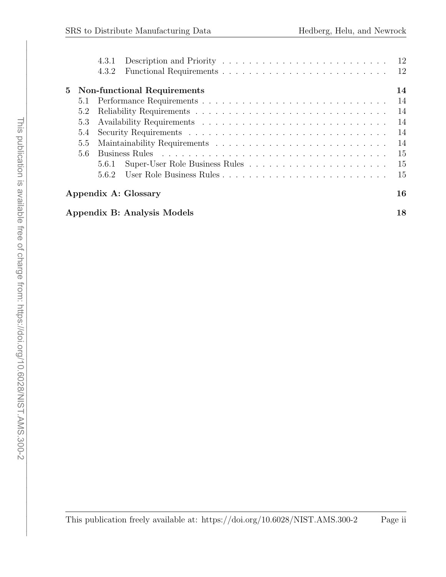|                            |                                   | 4.3.1<br>4.3.2                     | <sup>12</sup> |  |  |  |  |
|----------------------------|-----------------------------------|------------------------------------|---------------|--|--|--|--|
| 5                          |                                   | <b>Non-functional Requirements</b> | 14            |  |  |  |  |
|                            | 5.1                               |                                    | 14            |  |  |  |  |
|                            | 5.2                               |                                    | 14            |  |  |  |  |
|                            | 5.3                               |                                    | 14            |  |  |  |  |
|                            | 5.4                               |                                    | 14            |  |  |  |  |
|                            | 5.5                               |                                    | 14            |  |  |  |  |
|                            | 5.6                               |                                    | 15            |  |  |  |  |
|                            |                                   | 5.6.1                              | 15            |  |  |  |  |
|                            |                                   | 562                                | 15            |  |  |  |  |
| 16<br>Appendix A: Glossary |                                   |                                    |               |  |  |  |  |
|                            | Appendix B: Analysis Models<br>18 |                                    |               |  |  |  |  |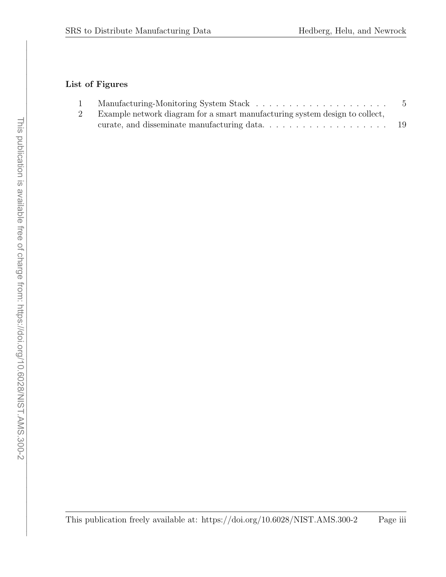# List of Figures

| Example network diagram for a smart manufacturing system design to collect, |     |
|-----------------------------------------------------------------------------|-----|
|                                                                             | -19 |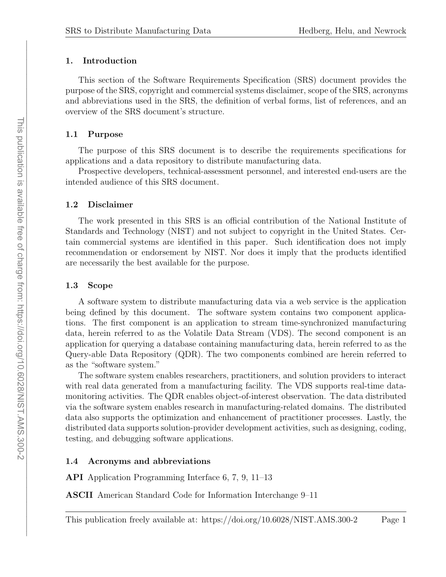#### <span id="page-5-0"></span>1. Introduction

This section of the Software [Requirements](#page-6-1) Specification (SRS) document provides the purpose of the [SRS,](#page-6-1) copyright and commercial systems disclaimer, scope of the [SRS,](#page-6-1) acronyms and abbreviations used in the [SRS,](#page-6-1) the definition of verbal forms, list of references, and an overview of the [SRS](#page-6-1) document's structure.

#### <span id="page-5-1"></span>1.1 Purpose

The purpose of this [SRS](#page-6-1) document is to describe the requirements specifications for applications and a data repository to distribute manufacturing data.

Prospective developers, technical-assessment personnel, and interested end-users are the intended audience of this [SRS](#page-6-1) document.

#### <span id="page-5-2"></span>1.2 Disclaimer

The work presented in this [SRS](#page-6-1) is an official contribution of the National [Institute](#page-6-2) of Standards and [Technology](#page-6-2) (NIST) and not subject to copyright in the United States. Certain commercial systems are identified in this paper. Such identification does not imply recommendation or endorsement by [NIST.](#page-6-2) Nor does it imply that the products identified are necessarily the best available for the purpose.

#### <span id="page-5-3"></span>1.3 Scope

A software system to distribute manufacturing data via a web service is the application being defined by this document. The software system contains two component applications. The first component is an application to stream time-synchronized manufacturing data, herein referred to as the [Volatile](#page-6-3) Data Stream (VDS). The second component is an application for querying a database containing manufacturing data, herein referred to as the [Query-able](#page-6-4) Data Repository (QDR). The two components combined are herein referred to as the "software system."

The software system enables researchers, practitioners, and solution providers to interact with real data generated from a manufacturing facility. The [VDS](#page-6-3) supports real-time datamonitoring activities. The [QDR](#page-6-4) enables object-of-interest observation. The data distributed via the software system enables research in manufacturing-related domains. The distributed data also supports the optimization and enhancement of practitioner processes. Lastly, the distributed data supports solution-provider development activities, such as designing, coding, testing, and debugging software applications.

#### <span id="page-5-4"></span>1.4 Acronyms and abbreviations

<span id="page-5-5"></span>API Application Programming Interface [6,](#page-10-3) [7,](#page-11-3) [9,](#page-13-2) [11](#page-15-5)[–13](#page-17-0)

<span id="page-5-6"></span>ASCII American Standard Code for Information Interchange [9–](#page-13-2)[11](#page-15-5)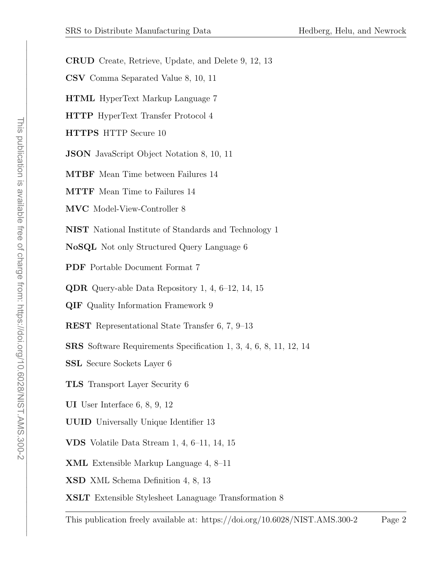<span id="page-6-24"></span><span id="page-6-23"></span><span id="page-6-21"></span><span id="page-6-19"></span><span id="page-6-18"></span><span id="page-6-17"></span><span id="page-6-15"></span><span id="page-6-13"></span><span id="page-6-5"></span>CRUD Create, Retrieve, Update, and Delete [9,](#page-13-2) [12,](#page-16-5) [13](#page-17-0) CSV Comma Separated Value [8,](#page-12-6) [10,](#page-14-0) [11](#page-15-5) HTML HyperText Markup Language [7](#page-11-3) HTTP HyperText Transfer Protocol [4](#page-8-4) HTTPS HTTP Secure [10](#page-14-0) JSON JavaScript Object Notation [8,](#page-12-6) [10,](#page-14-0) [11](#page-15-5) MTBF Mean Time between Failures [14](#page-18-7) MTTF Mean Time to Failures [14](#page-18-7) MVC Model-View-Controller [8](#page-12-6) NIST National Institute of Standards and Technology [1](#page-0-0) NoSQL Not only Structured Query Language [6](#page-10-3) PDF Portable Document Format [7](#page-11-3) QDR Query-able Data Repository [1,](#page-0-0) [4,](#page-8-4) [6–](#page-10-3)[12,](#page-16-5) [14,](#page-18-7) [15](#page-19-3) QIF Quality Information Framework [9](#page-13-2) REST Representational State Transfer [6,](#page-10-3) [7,](#page-11-3) [9–](#page-13-2)[13](#page-17-0) SRS Software Requirements Specification [1,](#page-0-0) [3,](#page-7-5) [4,](#page-8-4) [6,](#page-10-3) [8,](#page-12-6) [11,](#page-15-5) [12,](#page-16-5) [14](#page-18-7) SSL Secure Sockets Layer [6](#page-10-3)

- <span id="page-6-20"></span><span id="page-6-14"></span><span id="page-6-12"></span><span id="page-6-11"></span><span id="page-6-9"></span><span id="page-6-8"></span><span id="page-6-4"></span><span id="page-6-2"></span><span id="page-6-1"></span>TLS Transport Layer Security [6](#page-10-3)
- <span id="page-6-10"></span>UI User Interface [6,](#page-10-3) [8,](#page-12-6) [9,](#page-13-2) [12](#page-16-5)
- <span id="page-6-22"></span>UUID Universally Unique Identifier [13](#page-17-0)
- <span id="page-6-3"></span>VDS Volatile Data Stream [1,](#page-0-0) [4,](#page-8-4) [6–](#page-10-3)[11,](#page-15-5) [14,](#page-18-7) [15](#page-19-3)
- <span id="page-6-6"></span>XML Extensible Markup Language [4,](#page-8-4) [8–](#page-12-6)[11](#page-15-5)
- <span id="page-6-7"></span>XSD XML Schema Definition [4,](#page-8-4) [8,](#page-12-6) [13](#page-17-0)
- <span id="page-6-16"></span><span id="page-6-0"></span>XSLT Extensible Stylesheet Lanaguage Transformation [8](#page-12-6)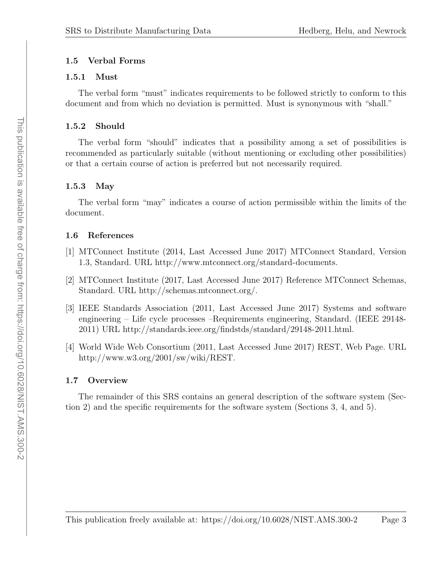# <span id="page-7-5"></span>1.5 Verbal Forms

## <span id="page-7-0"></span>1.5.1 Must

The verbal form "must" indicates requirements to be followed strictly to conform to this document and from which no deviation is permitted. Must is synonymous with "shall."

# <span id="page-7-1"></span>1.5.2 Should

The verbal form "should" indicates that a possibility among a set of possibilities is recommended as particularly suitable (without mentioning or excluding other possibilities) or that a certain course of action is preferred but not necessarily required.

# <span id="page-7-2"></span>1.5.3 May

The verbal form "may" indicates a course of action permissible within the limits of the document.

# <span id="page-7-3"></span>1.6 References

- <span id="page-7-6"></span>[1] MTConnect Institute (2014, Last Accessed June 2017) MTConnect Standard, Version 1.3, Standard. URL [http://www.mtconnect.org/standard-documents.](http://www.mtconnect.org/standard-documents)
- <span id="page-7-7"></span>[2] MTConnect Institute (2017, Last Accessed June 2017) Reference MTConnect Schemas, Standard. URL [http://schemas.mtconnect.org/.](http://schemas.mtconnect.org/)
- [3] IEEE Standards Association (2011, Last Accessed June 2017) Systems and software engineering – Life cycle processes –Requirements engineering, Standard. (IEEE 29148- 2011) URL [http://standards.ieee.org/findstds/standard/29148-2011.html.](http://standards.ieee.org/findstds/standard/29148-2011.html)
- [4] World Wide Web Consortium (2011, Last Accessed June 2017) REST, Web Page. URL [http://www.w3.org/2001/sw/wiki/REST.](http://www.w3.org/2001/sw/wiki/REST)

# <span id="page-7-4"></span>1.7 Overview

The remainder of this [SRS](#page-6-1) contains an general description of the software system (Section [2\)](#page-8-0) and the specific requirements for the software system (Sections [3,](#page-12-0) [4,](#page-15-0) and [5\)](#page-18-0).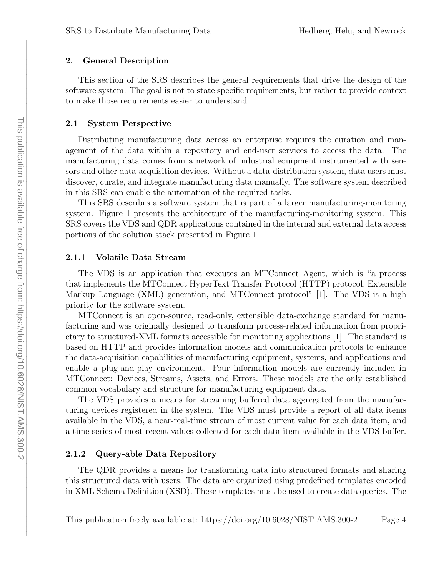#### <span id="page-8-4"></span><span id="page-8-0"></span>2. General Description

This section of the [SRS](#page-6-1) describes the general requirements that drive the design of the software system. The goal is not to state specific requirements, but rather to provide context to make those requirements easier to understand.

#### <span id="page-8-1"></span>2.1 System Perspective

Distributing manufacturing data across an enterprise requires the curation and management of the data within a repository and end-user services to access the data. The manufacturing data comes from a network of industrial equipment instrumented with sensors and other data-acquisition devices. Without a data-distribution system, data users must discover, curate, and integrate manufacturing data manually. The software system described in this [SRS](#page-6-1) can enable the automation of the required tasks.

This [SRS](#page-6-1) describes a software system that is part of a larger manufacturing-monitoring system. Figure [1](#page-9-0) presents the architecture of the manufacturing-monitoring system. This [SRS](#page-6-1) covers the [VDS](#page-6-3) and [QDR](#page-6-4) applications contained in the internal and external data access portions of the solution stack presented in Figure [1.](#page-9-0)

#### <span id="page-8-2"></span>2.1.1 Volatile Data Stream

The [VDS](#page-6-3) is an application that executes an MTConnect Agent, which is "a process that implements the MTConnect [HyperText](#page-6-5) Transfer Protocol (HTTP) protocol, [Extensible](#page-6-6) Markup [Language](#page-6-6) (XML) generation, and MTConnect protocol" [\[1\]](#page-7-6). The [VDS](#page-6-3) is a high priority for the software system.

MTConnect is an open-source, read-only, extensible data-exchange standard for manufacturing and was originally designed to transform process-related information from proprietary to structured-XML formats accessible for monitoring applications [\[1\]](#page-7-6). The standard is based on HTTP and provides information models and communication protocols to enhance the data-acquisition capabilities of manufacturing equipment, systems, and applications and enable a plug-and-play environment. Four information models are currently included in MTConnect: Devices, Streams, Assets, and Errors. These models are the only established common vocabulary and structure for manufacturing equipment data.

The [VDS](#page-6-3) provides a means for streaming buffered data aggregated from the manufacturing devices registered in the system. The [VDS](#page-6-3) must provide a report of all data items available in the [VDS,](#page-6-3) a near-real-time stream of most current value for each data item, and a time series of most recent values collected for each data item available in the [VDS](#page-6-3) buffer.

#### <span id="page-8-3"></span>2.1.2 Query-able Data Repository

The [QDR](#page-6-4) provides a means for transforming data into structured formats and sharing this structured data with users. The data are organized using predefined templates encoded in XML Schema [Definition](#page-6-7) (XSD). These templates must be used to create data queries. The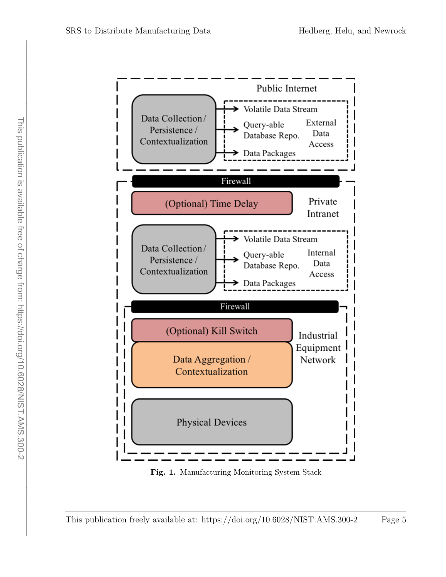<span id="page-9-0"></span>

Fig. 1. Manufacturing-Monitoring System Stack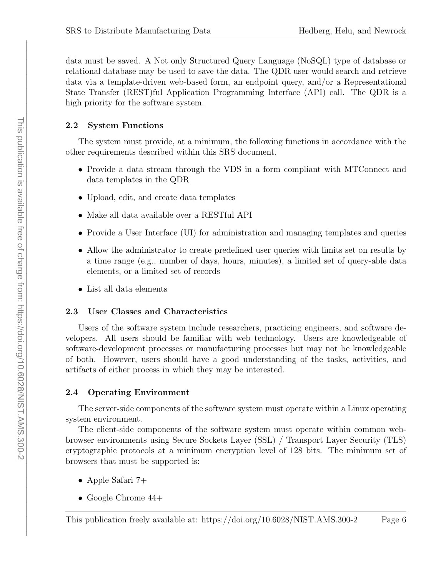<span id="page-10-3"></span>data must be saved. A Not only [Structured](#page-6-8) Query Language (NoSQL) type of database or relational database may be used to save the data. The [QDR](#page-6-4) user would search and retrieve data via a template-driven web-based form, an endpoint query, and/or a [Representational](#page-6-9) State [Transfer](#page-6-9) (REST)ful Application [Programming](#page-5-5) Interface (API) call. The [QDR](#page-6-4) is a high priority for the software system.

#### <span id="page-10-0"></span>2.2 System Functions

The system must provide, at a minimum, the following functions in accordance with the other requirements described within this [SRS](#page-6-1) document.

- Provide a data stream through the [VDS](#page-6-3) in a form compliant with MTConnect and data templates in the [QDR](#page-6-4)
- Upload, edit, and create data templates
- Make all data available over a [RESTf](#page-6-9)ul [API](#page-5-5)
- Provide a User [Interface](#page-6-10) (UI) for administration and managing templates and queries
- Allow the administrator to create predefined user queries with limits set on results by a time range (e.g., number of days, hours, minutes), a limited set of query-able data elements, or a limited set of records
- List all data elements

#### <span id="page-10-1"></span>2.3 User Classes and Characteristics

Users of the software system include researchers, practicing engineers, and software developers. All users should be familiar with web technology. Users are knowledgeable of software-development processes or manufacturing processes but may not be knowledgeable of both. However, users should have a good understanding of the tasks, activities, and artifacts of either process in which they may be interested.

# <span id="page-10-2"></span>2.4 Operating Environment

The server-side components of the software system must operate within a Linux operating system environment.

The client-side components of the software system must operate within common webbrowser environments using Secure [Sockets](#page-6-11) Layer (SSL) / [Transport](#page-6-12) Layer Security (TLS) cryptographic protocols at a minimum encryption level of 128 bits. The minimum set of browsers that must be supported is:

- Apple Safari 7+
- Google Chrome  $44+$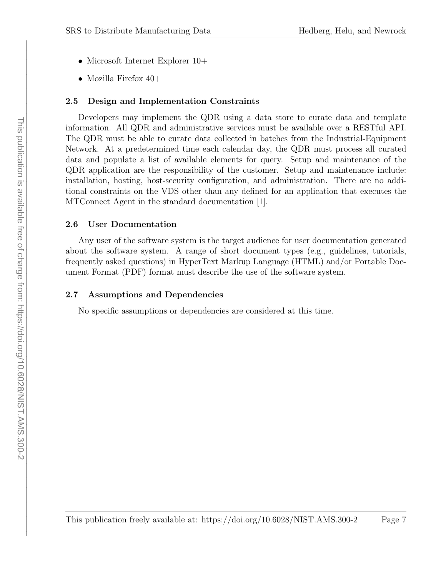- <span id="page-11-3"></span>• Microsoft Internet Explorer 10+
- Mozilla Firefox  $40+$

#### <span id="page-11-0"></span>2.5 Design and Implementation Constraints

Developers may implement the [QDR](#page-6-4) using a data store to curate data and template information. All [QDR](#page-6-4) and administrative services must be available over a [RESTf](#page-6-9)ul [API.](#page-5-5) The [QDR](#page-6-4) must be able to curate data collected in batches from the Industrial-Equipment Network. At a predetermined time each calendar day, the [QDR](#page-6-4) must process all curated data and populate a list of available elements for query. Setup and maintenance of the [QDR](#page-6-4) application are the responsibility of the customer. Setup and maintenance include: installation, hosting, host-security configuration, and administration. There are no additional constraints on the [VDS](#page-6-3) other than any defined for an application that executes the MTConnect Agent in the standard documentation [\[1\]](#page-7-6).

#### <span id="page-11-1"></span>2.6 User Documentation

Any user of the software system is the target audience for user documentation generated about the software system. A range of short document types (e.g., guidelines, tutorials, frequently asked questions) in [HyperText](#page-6-13) Markup Language (HTML) and/or [Portable](#page-6-14) Document [Format](#page-6-14) (PDF) format must describe the use of the software system.

#### <span id="page-11-2"></span>2.7 Assumptions and Dependencies

No specific assumptions or dependencies are considered at this time.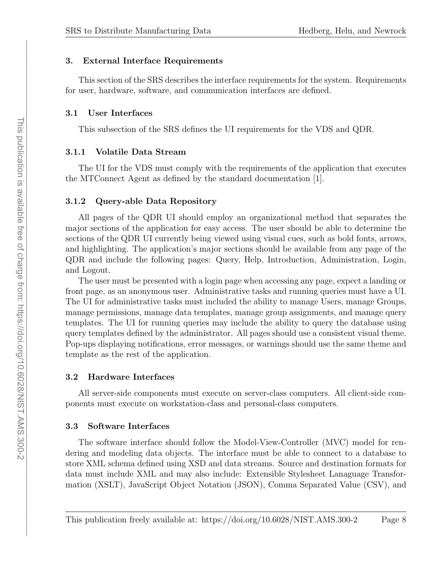#### <span id="page-12-6"></span><span id="page-12-0"></span>3. External Interface Requirements

This section of the [SRS](#page-6-1) describes the interface requirements for the system. Requirements for user, hardware, software, and communication interfaces are defined.

#### <span id="page-12-1"></span>3.1 User Interfaces

This subsection of the [SRS](#page-6-1) defines the [UI](#page-6-10) requirements for the [VDS](#page-6-3) and [QDR.](#page-6-4)

#### <span id="page-12-2"></span>3.1.1 Volatile Data Stream

The [UI](#page-6-10) for the [VDS](#page-6-3) must comply with the requirements of the application that executes the MTConnect Agent as defined by the standard documentation [\[1\]](#page-7-6).

#### <span id="page-12-3"></span>3.1.2 Query-able Data Repository

All pages of the [QDR](#page-6-4) [UI](#page-6-10) should employ an organizational method that separates the major sections of the application for easy access. The user should be able to determine the sections of the [QDR](#page-6-4) [UI](#page-6-10) currently being viewed using visual cues, such as bold fonts, arrows, and highlighting. The application's major sections should be available from any page of the [QDR](#page-6-4) and include the following pages: Query, Help, Introduction, Administration, Login, and Logout.

The user must be presented with a login page when accessing any page, expect a landing or front page, as an anonymous user. Administrative tasks and running queries must have a [UI.](#page-6-10) The [UI](#page-6-10) for administrative tasks must included the ability to manage Users, manage Groups, manage permissions, manage data templates, manage group assignments, and manage query templates. The [UI](#page-6-10) for running queries may include the ability to query the database using query templates defined by the administrator. All pages should use a consistent visual theme. Pop-ups displaying notifications, error messages, or warnings should use the same theme and template as the rest of the application.

#### <span id="page-12-4"></span>3.2 Hardware Interfaces

All server-side components must execute on server-class computers. All client-side components must execute on workstation-class and personal-class computers.

#### <span id="page-12-5"></span>3.3 Software Interfaces

The software interface should follow the [Model-View-Controller](#page-6-15) (MVC) model for rendering and modeling data objects. The interface must be able to connect to a database to store [XML](#page-6-6) schema defined using [XSD](#page-6-7) and data streams. Source and destination formats for data must include [XML](#page-6-6) and may also include: Extensible Stylesheet [Lanaguage](#page-6-16) Transformation [\(XSLT\),](#page-6-16) [JavaScript](#page-6-17) Object Notation (JSON), Comma [Separated](#page-6-18) Value (CSV), and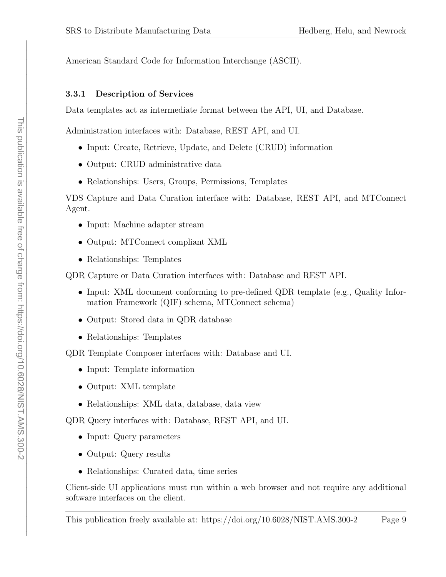<span id="page-13-2"></span>American Standard Code for [Information](#page-5-6) Interchange (ASCII).

## <span id="page-13-0"></span>3.3.1 Description of Services

Data templates act as intermediate format between the [API,](#page-5-5) [UI,](#page-6-10) and Database.

Administration interfaces with: Database, [REST](#page-6-9) [API,](#page-5-5) and [UI.](#page-6-10)

- Input: Create, [Retrieve,](#page-6-19) Update, and Delete (CRUD) information
- Output: [CRUD](#page-6-19) administrative data
- Relationships: Users, Groups, Permissions, Templates

[VDS](#page-6-3) Capture and Data Curation interface with: Database, [REST](#page-6-9) [API,](#page-5-5) and MTConnect Agent.

- Input: Machine adapter stream
- Output: MTConnect compliant [XML](#page-6-6)
- Relationships: Templates

[QDR](#page-6-4) Capture or Data Curation interfaces with: Database and [REST](#page-6-9) [API.](#page-5-5)

- Input: XML document conforming to pre-defined [QDR](#page-6-4) template (e.g., [Quality](#page-6-20) Information [Framework](#page-6-20) (QIF) schema, MTConnect schema)
- Output: Stored data in [QDR](#page-6-4) database
- Relationships: Templates

[QDR](#page-6-4) Template Composer interfaces with: Database and [UI.](#page-6-10)

- Input: Template information
- Output: [XML](#page-6-6) template
- Relationships: [XML](#page-6-6) data, database, data view

[QDR](#page-6-4) Query interfaces with: Database, [REST](#page-6-9) [API,](#page-5-5) and [UI.](#page-6-10)

- Input: Query parameters
- Output: Query results
- Relationships: Curated data, time series

<span id="page-13-1"></span>Client-side [UI](#page-6-10) applications must run within a web browser and not require any additional software interfaces on the client.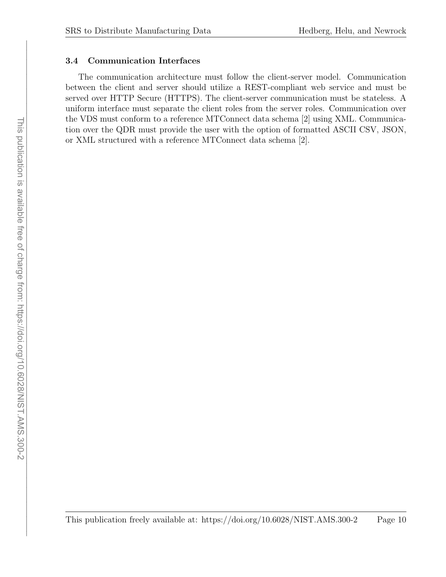#### <span id="page-14-0"></span>3.4 Communication Interfaces

The communication architecture must follow the client-server model. Communication between the client and server should utilize a [REST-](#page-6-9)compliant web service and must be served over HTTP Secure [\(HTTPS\).](#page-6-21) The client-server communication must be stateless. A uniform interface must separate the client roles from the server roles. Communication over the [VDS](#page-6-3) must conform to a reference MTConnect data schema [\[2\]](#page-7-7) using [XML.](#page-6-6) Communication over the [QDR](#page-6-4) must provide the user with the option of formatted [ASCII](#page-5-6) [CSV,](#page-6-18) [JSON,](#page-6-17) or [XML](#page-6-6) structured with a reference MTConnect data schema [\[2\]](#page-7-7).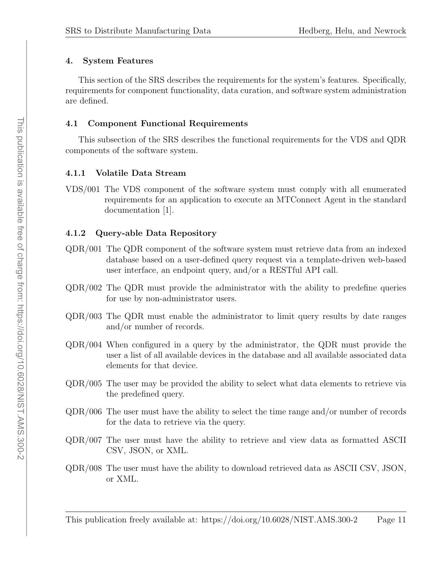#### <span id="page-15-5"></span><span id="page-15-0"></span>4. System Features

This section of the [SRS](#page-6-1) describes the requirements for the system's features. Specifically, requirements for component functionality, data curation, and software system administration are defined.

#### <span id="page-15-1"></span>4.1 Component Functional Requirements

This subsection of the [SRS](#page-6-1) describes the functional requirements for the [VDS](#page-6-3) and [QDR](#page-6-4) components of the software system.

#### <span id="page-15-2"></span>4.1.1 Volatile Data Stream

VDS/001 The [VDS](#page-6-3) component of the software system must comply with all enumerated requirements for an application to execute an MTConnect Agent in the standard documentation [\[1\]](#page-7-6).

#### <span id="page-15-3"></span>4.1.2 Query-able Data Repository

- QDR/001 The [QDR](#page-6-4) component of the software system must retrieve data from an indexed database based on a user-defined query request via a template-driven web-based user interface, an endpoint query, and/or a [RESTf](#page-6-9)ul [API](#page-5-5) call.
- QDR/002 The [QDR](#page-6-4) must provide the administrator with the ability to predefine queries for use by non-administrator users.
- QDR/003 The [QDR](#page-6-4) must enable the administrator to limit query results by date ranges and/or number of records.
- QDR/004 When configured in a query by the administrator, the [QDR](#page-6-4) must provide the user a list of all available devices in the database and all available associated data elements for that device.
- QDR/005 The user may be provided the ability to select what data elements to retrieve via the predefined query.
- QDR/006 The user must have the ability to select the time range and/or number of records for the data to retrieve via the query.
- QDR/007 The user must have the ability to retrieve and view data as formatted [ASCII](#page-5-6) [CSV,](#page-6-18) [JSON,](#page-6-17) or [XML.](#page-6-6)
- QDR/008 The user must have the ability to download retrieved data as [ASCII](#page-5-6) [CSV,](#page-6-18) [JSON,](#page-6-17) or [XML.](#page-6-6)

<span id="page-15-4"></span>This publication freely available at: https://doi.org/10.6028/NIST.AMS.300-2 Page 11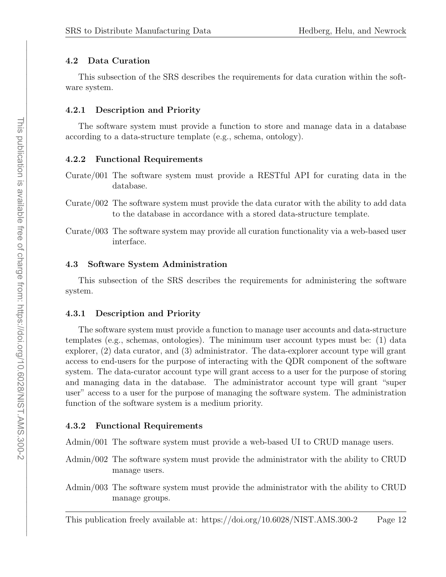#### <span id="page-16-5"></span>4.2 Data Curation

This subsection of the [SRS](#page-6-1) describes the requirements for data curation within the software system.

#### <span id="page-16-0"></span>4.2.1 Description and Priority

The software system must provide a function to store and manage data in a database according to a data-structure template (e.g., schema, ontology).

#### <span id="page-16-1"></span>4.2.2 Functional Requirements

- Curate/001 The software system must provide a [RESTf](#page-6-9)ul [API](#page-5-5) for curating data in the database.
- Curate/002 The software system must provide the data curator with the ability to add data to the database in accordance with a stored data-structure template.
- Curate/003 The software system may provide all curation functionality via a web-based user interface.

#### <span id="page-16-2"></span>4.3 Software System Administration

This subsection of the [SRS](#page-6-1) describes the requirements for administering the software system.

#### <span id="page-16-3"></span>4.3.1 Description and Priority

The software system must provide a function to manage user accounts and data-structure templates (e.g., schemas, ontologies). The minimum user account types must be: (1) data explorer, (2) data curator, and (3) administrator. The data-explorer account type will grant access to end-users for the purpose of interacting with the [QDR](#page-6-4) component of the software system. The data-curator account type will grant access to a user for the purpose of storing and managing data in the database. The administrator account type will grant "super user" access to a user for the purpose of managing the software system. The administration function of the software system is a medium priority.

#### <span id="page-16-4"></span>4.3.2 Functional Requirements

Admin/001 The software system must provide a web-based [UI](#page-6-10) to [CRUD](#page-6-19) manage users.

- Admin/002 The software system must provide the administrator with the ability to [CRUD](#page-6-19) manage users.
- Admin/003 The software system must provide the administrator with the ability to [CRUD](#page-6-19) manage groups.

This publication freely available at: https://doi.org/10.6028/NIST.AMS.300-2 Page 12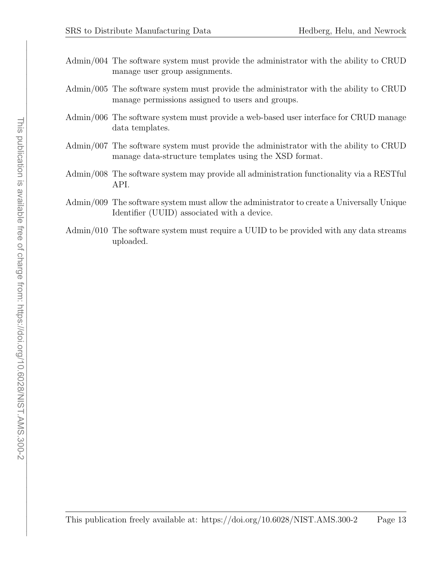- <span id="page-17-0"></span>Admin/004 The software system must provide the administrator with the ability to [CRUD](#page-6-19) manage user group assignments.
- Admin/005 The software system must provide the administrator with the ability to [CRUD](#page-6-19) manage permissions assigned to users and groups.
- Admin/006 The software system must provide a web-based user interface for [CRUD](#page-6-19) manage data templates.
- Admin/007 The software system must provide the administrator with the ability to [CRUD](#page-6-19) manage data-structure templates using the [XSD](#page-6-7) format.
- Admin/008 The software system may provide all administration functionality via a [RESTf](#page-6-9)ul [API.](#page-5-5)
- Admin/009 The software system must allow the administrator to create a [Universally](#page-6-22) Unique [Identifier](#page-6-22) (UUID) associated with a device.
- Admin/010 The software system must require a [UUID](#page-6-22) to be provided with any data streams uploaded.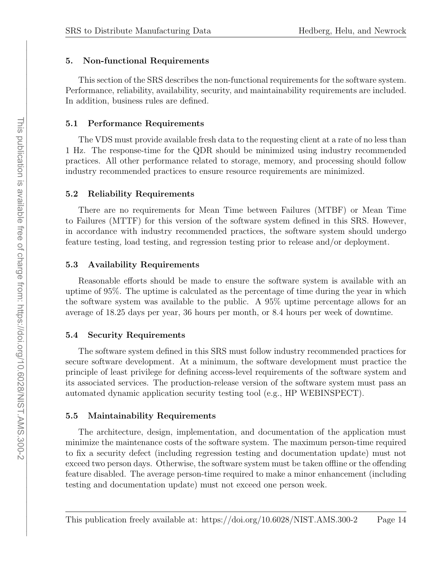# <span id="page-18-7"></span><span id="page-18-0"></span>5. Non-functional Requirements

This section of the [SRS](#page-6-1) describes the non-functional requirements for the software system. Performance, reliability, availability, security, and maintainability requirements are included. In addition, business rules are defined.

# <span id="page-18-1"></span>5.1 Performance Requirements

The [VDS](#page-6-3) must provide available fresh data to the requesting client at a rate of no less than 1 Hz. The response-time for the [QDR](#page-6-4) should be minimized using industry recommended practices. All other performance related to storage, memory, and processing should follow industry recommended practices to ensure resource requirements are minimized.

# <span id="page-18-2"></span>5.2 Reliability Requirements

There are no requirements for Mean Time between Failures [\(MTBF\)](#page-6-23) or [Mean](#page-6-24) Time to Failures [\(MTTF\)](#page-6-24) for this version of the software system defined in this [SRS.](#page-6-1) However, in accordance with industry recommended practices, the software system should undergo feature testing, load testing, and regression testing prior to release and/or deployment.

# <span id="page-18-3"></span>5.3 Availability Requirements

Reasonable efforts should be made to ensure the software system is available with an uptime of 95%. The uptime is calculated as the percentage of time during the year in which the software system was available to the public. A 95% uptime percentage allows for an average of 18.25 days per year, 36 hours per month, or 8.4 hours per week of downtime.

# <span id="page-18-4"></span>5.4 Security Requirements

The software system defined in this [SRS](#page-6-1) must follow industry recommended practices for secure software development. At a minimum, the software development must practice the principle of least privilege for defining access-level requirements of the software system and its associated services. The production-release version of the software system must pass an automated dynamic application security testing tool (e.g., HP WEBINSPECT).

# <span id="page-18-5"></span>5.5 Maintainability Requirements

<span id="page-18-6"></span>The architecture, design, implementation, and documentation of the application must minimize the maintenance costs of the software system. The maximum person-time required to fix a security defect (including regression testing and documentation update) must not exceed two person days. Otherwise, the software system must be taken offline or the offending feature disabled. The average person-time required to make a minor enhancement (including testing and documentation update) must not exceed one person week.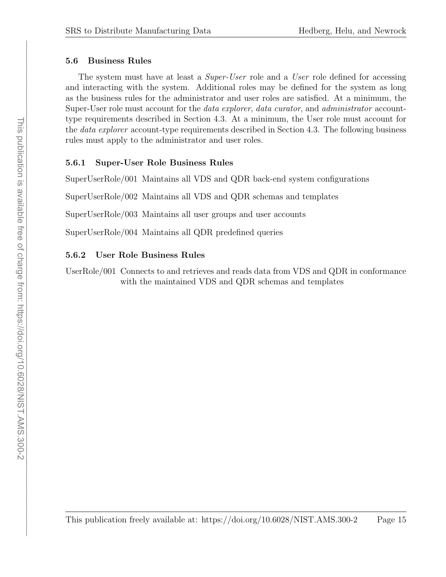#### <span id="page-19-3"></span>5.6 Business Rules

The system must have at least a *Super-User* role and a *User* role defined for accessing and interacting with the system. Additional roles may be defined for the system as long as the business rules for the administrator and user roles are satisfied. At a minimum, the Super-User role must account for the *data explorer*, *data curator*, and *administrator* accounttype requirements described in Section [4.3.](#page-16-2) At a minimum, the User role must account for the *data explorer* account-type requirements described in Section [4.3.](#page-16-2) The following business rules must apply to the administrator and user roles.

## <span id="page-19-0"></span>5.6.1 Super-User Role Business Rules

SuperUserRole/001 Maintains all [VDS](#page-6-3) and [QDR](#page-6-4) back-end system configurations

SuperUserRole/002 Maintains all [VDS](#page-6-3) and [QDR](#page-6-4) schemas and templates

SuperUserRole/003 Maintains all user groups and user accounts

SuperUserRole/004 Maintains all [QDR](#page-6-4) predefined queries

#### <span id="page-19-1"></span>5.6.2 User Role Business Rules

<span id="page-19-2"></span>UserRole/001 Connects to and retrieves and reads data from [VDS](#page-6-3) and [QDR](#page-6-4) in conformance with the maintained [VDS](#page-6-3) and [QDR](#page-6-4) schemas and templates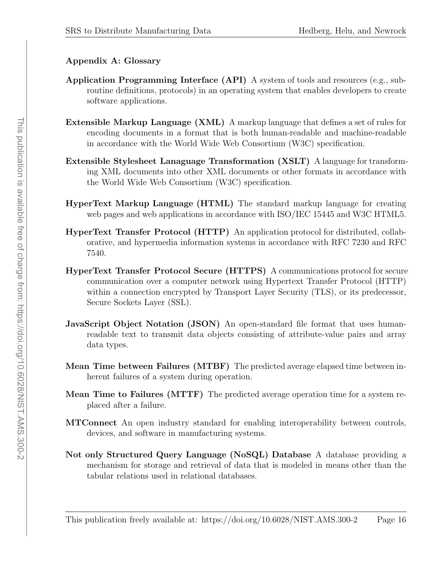# <span id="page-20-0"></span>Appendix A: Glossary

- Application Programming Interface (API) A system of tools and resources (e.g., subroutine definitions, protocols) in an operating system that enables developers to create software applications.
- Extensible Markup Language (XML) A markup language that defines a set of rules for encoding documents in a format that is both human-readable and machine-readable in accordance with the World Wide Web Consortium (W3C) specification.
- Extensible Stylesheet Lanaguage Transformation (XSLT) A language for transforming XML documents into other XML documents or other formats in accordance with the World Wide Web Consortium (W3C) specification.
- HyperText Markup Language (HTML) The standard markup language for creating web pages and web applications in accordance with ISO/IEC 15445 and W3C HTML5.
- HyperText Transfer Protocol (HTTP) An application protocol for distributed, collaborative, and hypermedia information systems in accordance with RFC 7230 and RFC 7540.
- HyperText Transfer Protocol Secure (HTTPS) A communications protocol for secure communication over a computer network using Hypertext Transfer Protocol (HTTP) within a connection encrypted by Transport Layer Security (TLS), or its predecessor, Secure Sockets Layer (SSL).
- JavaScript Object Notation (JSON) An open-standard file format that uses humanreadable text to transmit data objects consisting of attribute-value pairs and array data types.
- Mean Time between Failures (MTBF) The predicted average elapsed time between inherent failures of a system during operation.
- Mean Time to Failures (MTTF) The predicted average operation time for a system replaced after a failure.
- MTConnect An open industry standard for enabling interoperability between controls, devices, and software in manufacturing systems.
- Not only Structured Query Language (NoSQL) Database A database providing a mechanism for storage and retrieval of data that is modeled in means other than the tabular relations used in relational databases.

This publication freely available at: https://doi.org/10.6028/NIST.AMS.300-2 Page 16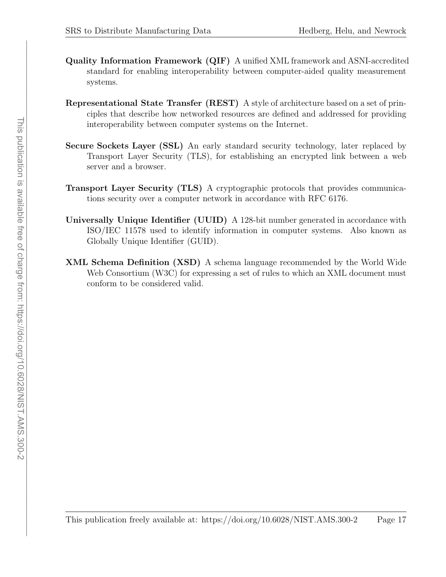- Quality Information Framework (QIF) A unified XML framework and ASNI-accredited standard for enabling interoperability between computer-aided quality measurement systems.
- Representational State Transfer (REST) A style of architecture based on a set of principles that describe how networked resources are defined and addressed for providing interoperability between computer systems on the Internet.
- Secure Sockets Layer (SSL) An early standard security technology, later replaced by Transport Layer Security (TLS), for establishing an encrypted link between a web server and a browser.
- Transport Layer Security (TLS) A cryptographic protocols that provides communications security over a computer network in accordance with RFC 6176.
- Universally Unique Identifier (UUID) A 128-bit number generated in accordance with ISO/IEC 11578 used to identify information in computer systems. Also known as Globally Unique Identifier (GUID).
- XML Schema Definition (XSD) A schema language recommended by the World Wide Web Consortium (W3C) for expressing a set of rules to which an XML document must conform to be considered valid.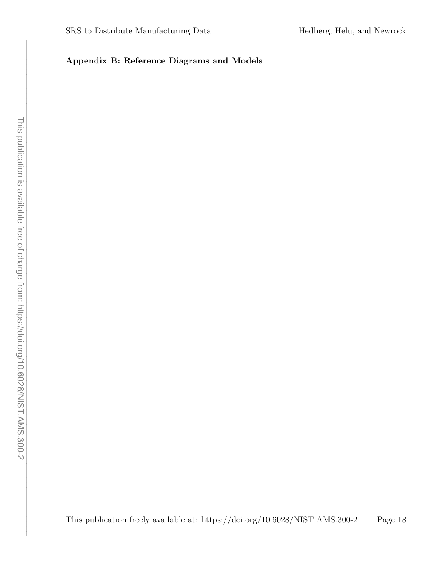# Appendix B: Reference Diagrams and Models

This publication freely available at: https://doi.org/10.6028/NIST.AMS.300-2 Page 18